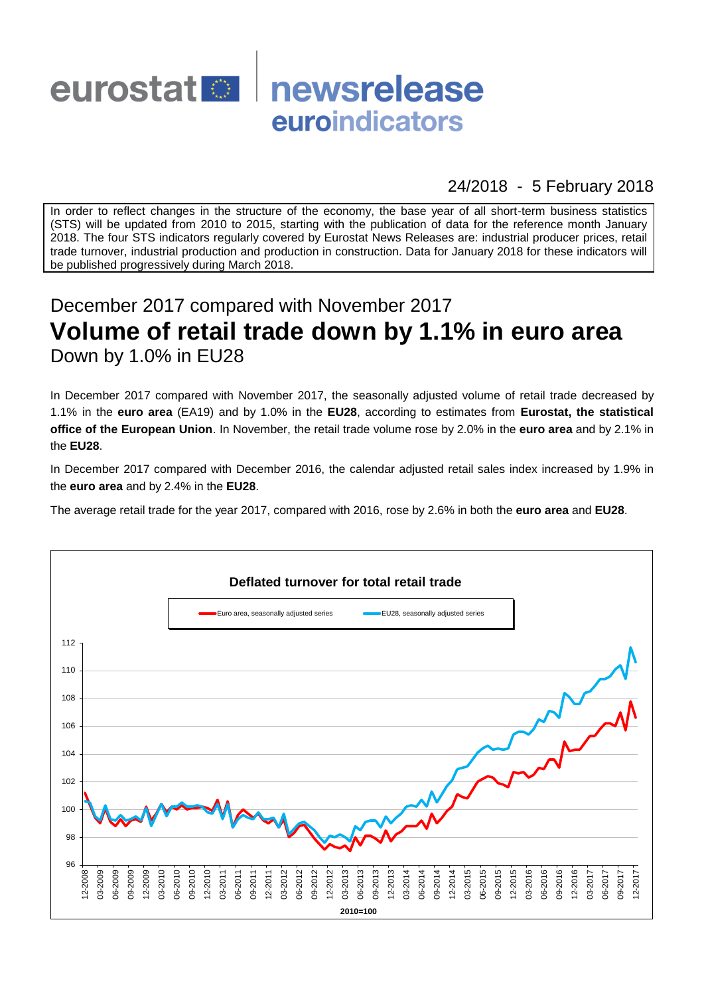

## 24/2018 - 5 February 2018

In order to reflect changes in the structure of the economy, the base year of all short-term business statistics (STS) will be updated from 2010 to 2015, starting with the publication of data for the reference month January 2018. The four STS indicators regularly covered by Eurostat News Releases are: industrial producer prices, retail trade turnover, industrial production and production in construction. Data for January 2018 for these indicators will be published progressively during March 2018.

# December 2017 compared with November 2017 **Volume of retail trade down by 1.1% in euro area** Down by 1.0% in EU28

In December 2017 compared with November 2017, the seasonally adjusted volume of retail trade decreased by 1.1% in the **euro area** (EA19) and by 1.0% in the **EU28**, according to estimates from **Eurostat, the statistical office of the European Union**. In November, the retail trade volume rose by 2.0% in the **euro area** and by 2.1% in the **EU28**.

In December 2017 compared with December 2016, the calendar adjusted retail sales index increased by 1.9% in the **euro area** and by 2.4% in the **EU28**.

The average retail trade for the year 2017, compared with 2016, rose by 2.6% in both the **euro area** and **EU28**.

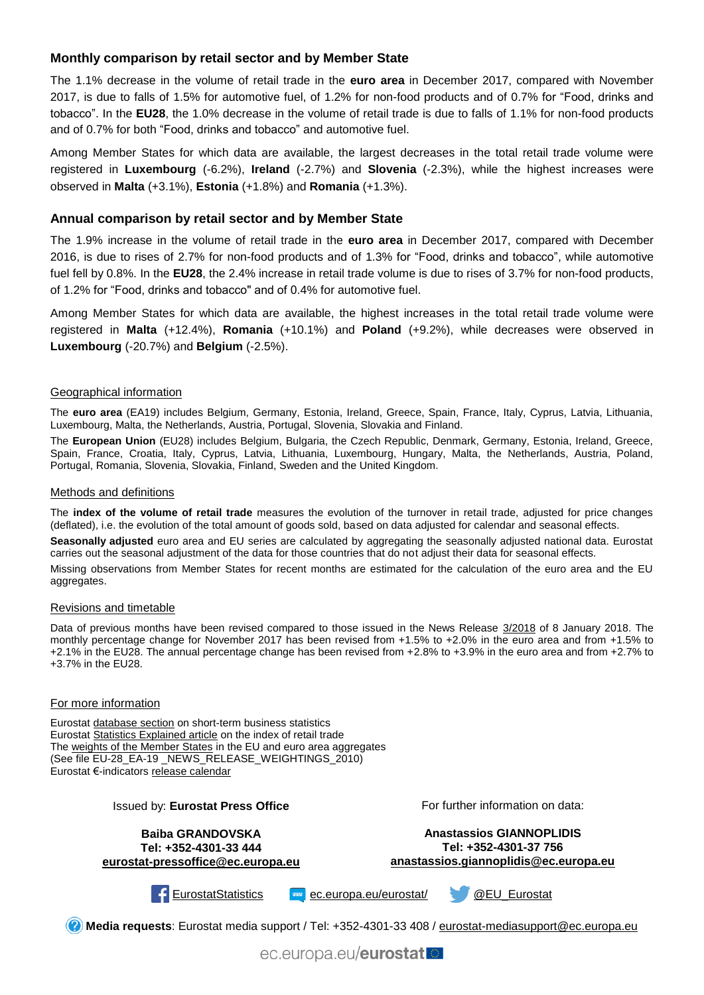### **Monthly comparison by retail sector and by Member State**

The 1.1% decrease in the volume of retail trade in the **euro area** in December 2017, compared with November 2017, is due to falls of 1.5% for automotive fuel, of 1.2% for non-food products and of 0.7% for "Food, drinks and tobacco". In the **EU28**, the 1.0% decrease in the volume of retail trade is due to falls of 1.1% for non-food products and of 0.7% for both "Food, drinks and tobacco" and automotive fuel.

Among Member States for which data are available, the largest decreases in the total retail trade volume were registered in **Luxembourg** (-6.2%), **Ireland** (-2.7%) and **Slovenia** (-2.3%), while the highest increases were observed in **Malta** (+3.1%), **Estonia** (+1.8%) and **Romania** (+1.3%).

#### **Annual comparison by retail sector and by Member State**

The 1.9% increase in the volume of retail trade in the **euro area** in December 2017, compared with December 2016, is due to rises of 2.7% for non-food products and of 1.3% for "Food, drinks and tobacco", while automotive fuel fell by 0.8%. In the **EU28**, the 2.4% increase in retail trade volume is due to rises of 3.7% for non-food products, of 1.2% for "Food, drinks and tobacco" and of 0.4% for automotive fuel.

Among Member States for which data are available, the highest increases in the total retail trade volume were registered in **Malta** (+12.4%), **Romania** (+10.1%) and **Poland** (+9.2%), while decreases were observed in **Luxembourg** (-20.7%) and **Belgium** (-2.5%).

#### Geographical information

The **euro area** (EA19) includes Belgium, Germany, Estonia, Ireland, Greece, Spain, France, Italy, Cyprus, Latvia, Lithuania, Luxembourg, Malta, the Netherlands, Austria, Portugal, Slovenia, Slovakia and Finland.

The **European Union** (EU28) includes Belgium, Bulgaria, the Czech Republic, Denmark, Germany, Estonia, Ireland, Greece, Spain, France, Croatia, Italy, Cyprus, Latvia, Lithuania, Luxembourg, Hungary, Malta, the Netherlands, Austria, Poland, Portugal, Romania, Slovenia, Slovakia, Finland, Sweden and the United Kingdom.

#### Methods and definitions

The **index of the volume of retail trade** measures the evolution of the turnover in retail trade, adjusted for price changes (deflated), i.e. the evolution of the total amount of goods sold, based on data adjusted for calendar and seasonal effects.

**Seasonally adjusted** euro area and EU series are calculated by aggregating the seasonally adjusted national data. Eurostat carries out the seasonal adjustment of the data for those countries that do not adjust their data for seasonal effects.

Missing observations from Member States for recent months are estimated for the calculation of the euro area and the EU aggregates.

#### Revisions and timetable

Data of previous months have been revised compared to those issued in the News Release [3/2018](http://ec.europa.eu/eurostat/documents/2995521/8564675/4-08012018-AP-EN.pdf/c6a45842-bb30-4d42-a658-32145d9e775e) of 8 January 2018. The monthly percentage change for November 2017 has been revised from +1.5% to +2.0% in the euro area and from +1.5% to +2.1% in the EU28. The annual percentage change has been revised from +2.8% to +3.9% in the euro area and from +2.7% to +3.7% in the EU28.

#### For more information

Eurostat [database section](http://ec.europa.eu/eurostat/web/short-term-business-statistics/data/database) on short-term business statistics Eurostat [Statistics Explained article](http://ec.europa.eu/eurostat/statistics-explained/index.php/Retail_trade_volume_index_overview) on the index of retail trade Th[e weights of the Member States](https://circabc.europa.eu/w/browse/5e6d1e48-056c-4c6a-8278-3ab138bcf575) in the EU and euro area aggregates (See file EU-28 EA-19 NEWS RELEASE WEIGHTINGS 2010) Eurostat €-indicators [release calendar](http://ec.europa.eu/eurostat/news/release-calendar)

| <b>Issued by: Eurostat Press Office</b>                                               | For further information on data:                                                                    |
|---------------------------------------------------------------------------------------|-----------------------------------------------------------------------------------------------------|
| <b>Baiba GRANDOVSKA</b><br>Tel: +352-4301-33 444<br>eurostat-pressoffice@ec.europa.eu | <b>Anastassios GIANNOPLIDIS</b><br>Tel: +352-4301-37 756<br>anastassios.giannoplidis@ec.europa.eu   |
| EurostatStatistics                                                                    | <b>Example 2 C. europa.eu/eurostat/</b><br>@EU Eurostat                                             |
|                                                                                       | Media requests: Eurostat media support / Tel: +352-4301-33 408 / eurostat-mediasupport@ec.europa.eu |
|                                                                                       | ec.europa.eu/eurostat                                                                               |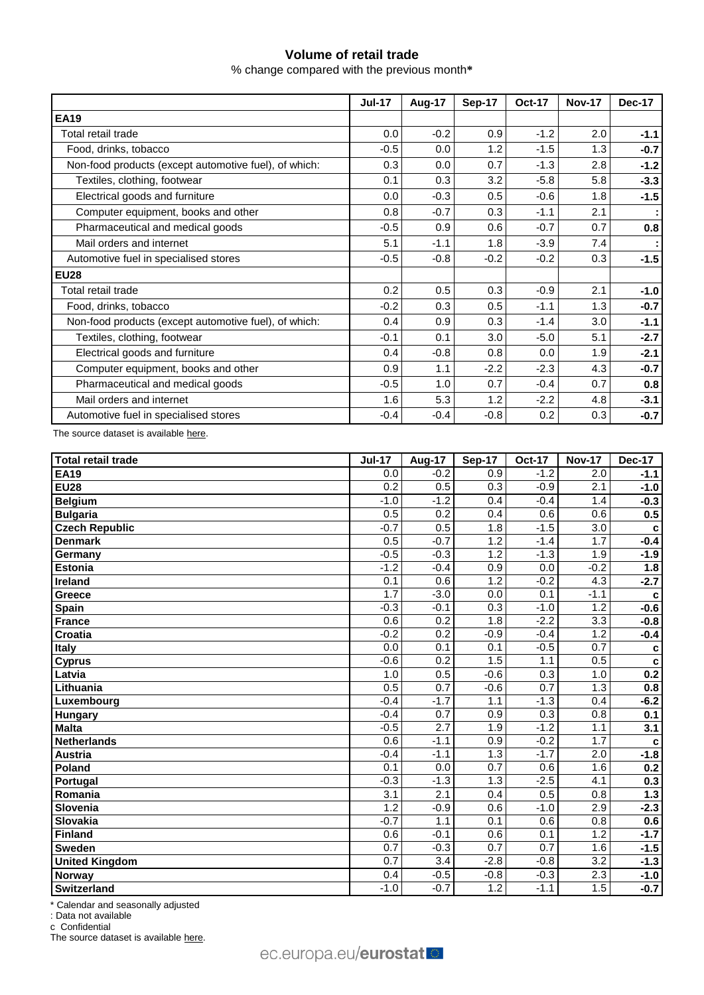## **Volume of retail trade**

% change compared with the previous month**\***

|                                                       | <b>Jul-17</b> | Aug-17 | Sep-17 | <b>Oct-17</b> | <b>Nov-17</b> | Dec-17 |
|-------------------------------------------------------|---------------|--------|--------|---------------|---------------|--------|
| <b>EA19</b>                                           |               |        |        |               |               |        |
| Total retail trade                                    | 0.0           | $-0.2$ | 0.9    | $-1.2$        | 2.0           | $-1.1$ |
| Food, drinks, tobacco                                 | $-0.5$        | 0.0    | 1.2    | $-1.5$        | 1.3           | $-0.7$ |
| Non-food products (except automotive fuel), of which: | 0.3           | 0.0    | 0.7    | $-1.3$        | 2.8           | $-1.2$ |
| Textiles, clothing, footwear                          | 0.1           | 0.3    | 3.2    | $-5.8$        | 5.8           | $-3.3$ |
| Electrical goods and furniture                        | 0.0           | $-0.3$ | 0.5    | $-0.6$        | 1.8           | $-1.5$ |
| Computer equipment, books and other                   | 0.8           | $-0.7$ | 0.3    | $-1.1$        | 2.1           |        |
| Pharmaceutical and medical goods                      | $-0.5$        | 0.9    | 0.6    | $-0.7$        | 0.7           | 0.8    |
| Mail orders and internet                              | 5.1           | $-1.1$ | 1.8    | $-3.9$        | 7.4           |        |
| Automotive fuel in specialised stores                 | $-0.5$        | $-0.8$ | $-0.2$ | $-0.2$        | 0.3           | $-1.5$ |
| <b>EU28</b>                                           |               |        |        |               |               |        |
| Total retail trade                                    | 0.2           | 0.5    | 0.3    | $-0.9$        | 2.1           | $-1.0$ |
| Food, drinks, tobacco                                 | $-0.2$        | 0.3    | 0.5    | $-1.1$        | 1.3           | $-0.7$ |
| Non-food products (except automotive fuel), of which: | 0.4           | 0.9    | 0.3    | $-1.4$        | 3.0           | $-1.1$ |
| Textiles, clothing, footwear                          | $-0.1$        | 0.1    | 3.0    | $-5.0$        | 5.1           | $-2.7$ |
| Electrical goods and furniture                        | 0.4           | $-0.8$ | 0.8    | 0.0           | 1.9           | $-2.1$ |
| Computer equipment, books and other                   | 0.9           | 1.1    | $-2.2$ | $-2.3$        | 4.3           | $-0.7$ |
| Pharmaceutical and medical goods                      | $-0.5$        | 1.0    | 0.7    | $-0.4$        | 0.7           | 0.8    |
| Mail orders and internet                              | 1.6           | 5.3    | 1.2    | $-2.2$        | 4.8           | $-3.1$ |
| Automotive fuel in specialised stores                 | $-0.4$        | $-0.4$ | $-0.8$ | 0.2           | 0.3           | $-0.7$ |

The source dataset is available [here.](http://appsso.eurostat.ec.europa.eu/nui/show.do?query=BOOKMARK_DS-075757_QID_-4D7F6645_UID_-3F171EB0&layout=TIME,C,X,0;GEO,L,Y,0;NACE_R2,L,Y,1;INDIC_BT,L,Z,0;S_ADJ,L,Z,1;UNIT,L,Z,2;INDICATORS,C,Z,3;&zSelection=DS-075757INDIC_BT,TOVV;DS-075757UNIT,PCH_PRE;DS-075757INDICATORS,OBS_FLAG;DS-075757S_ADJ,SCA;&rankName1=UNIT_1_2_-1_2&rankName2=INDIC-BT_1_2_-1_2&rankName3=INDICATORS_1_2_-1_2&rankName4=S-ADJ_1_2_-1_2&rankName5=TIME_1_0_0_0&rankName6=GEO_1_0_0_1&rankName7=NACE-R2_1_0_1_1&sortR=ASC_-1_FIRST&sortC=ASC_-1_FIRST&rStp=&cStp=&rDCh=&cDCh=&rDM=true&cDM=true&footnes=false&empty=false&wai=false&time_mode=ROLLING&time_most_recent=true&lang=EN&cfo=%23%23%23%2C%23%23%23.%23%23%23)

| Total retail trade    | <b>Jul-17</b>    | <b>Aug-17</b>    | <b>Sep-17</b>    | <b>Oct-17</b>    | <b>Nov-17</b>    | <b>Dec-17</b> |
|-----------------------|------------------|------------------|------------------|------------------|------------------|---------------|
| <b>EA19</b>           | 0.0              | $-0.2$           | 0.9              | $-1.2$           | 2.0              | $-1.1$        |
| <b>EU28</b>           | $\overline{0.2}$ | 0.5              | 0.3              | $-0.9$           | 2.1              | $-1.0$        |
| Belgium               | $-1.0$           | $-1.2$           | 0.4              | $-0.4$           | 1.4              | $-0.3$        |
| <b>Bulgaria</b>       | 0.5              | 0.2              | 0.4              | 0.6              | 0.6              | 0.5           |
| <b>Czech Republic</b> | $-0.7$           | 0.5              | 1.8              | $-1.5$           | 3.0              | C             |
| <b>Denmark</b>        | 0.5              | $-0.7$           | 1.2              | $-1.4$           | 1.7              | $-0.4$        |
| Germany               | $-0.5$           | $-0.3$           | 1.2              | $-1.3$           | 1.9              | $-1.9$        |
| <b>Estonia</b>        | $-1.2$           | $-0.4$           | 0.9              | 0.0              | $-0.2$           | 1.8           |
| Ireland               | 0.1              | 0.6              | $\overline{1.2}$ | $-0.2$           | 4.3              | $-2.7$        |
| Greece                | 1.7              | $-3.0$           | 0.0              | 0.1              | $-1.1$           | $\mathbf c$   |
| <b>Spain</b>          | $-0.3$           | $-0.1$           | $\overline{0.3}$ | $-1.0$           | $\overline{1.2}$ | $-0.6$        |
| France                | 0.6              | 0.2              | 1.8              | $-2.2$           | 3.3              | $-0.8$        |
| Croatia               | $-0.2$           | $\overline{0.2}$ | $-0.9$           | $-0.4$           | 1.2              | $-0.4$        |
| <b>Italy</b>          | 0.0              | $\overline{0.1}$ | 0.1              | $-0.5$           | 0.7              | $\mathbf c$   |
| <b>Cyprus</b>         | $-0.6$           | 0.2              | 1.5              | 1.1              | 0.5              | $\mathbf c$   |
| Latvia                | 1.0              | 0.5              | $-0.6$           | 0.3              | 1.0              | 0.2           |
| Lithuania             | 0.5              | $\overline{0.7}$ | $-0.6$           | $\overline{0.7}$ | $\overline{1.3}$ | 0.8           |
| Luxembourg            | $-0.4$           | $-1.7$           | 1.1              | $-1.3$           | 0.4              | $-6.2$        |
| <b>Hungary</b>        | $-0.4$           | $\overline{0.7}$ | 0.9              | 0.3              | 0.8              | 0.1           |
| <b>Malta</b>          | $-0.5$           | 2.7              | 1.9              | $-1.2$           | 1.1              | 3.1           |
| <b>Netherlands</b>    | $\overline{0.6}$ | $-1.1$           | 0.9              | $-0.2$           | 1.7              | C             |
| Austria               | $-0.4$           | $-1.1$           | $\overline{1.3}$ | $-1.7$           | $\overline{2.0}$ | $-1.8$        |
| Poland                | 0.1              | 0.0              | 0.7              | 0.6              | 1.6              | 0.2           |
| Portugal              | $-0.3$           | $-1.3$           | $\overline{1.3}$ | $-2.5$           | 4.1              | 0.3           |
| Romania               | $\overline{3.1}$ | 2.1              | 0.4              | 0.5              | 0.8              | 1.3           |
| Slovenia              | 1.2              | $-0.9$           | 0.6              | $-1.0$           | 2.9              | $-2.3$        |
| Slovakia              | $-0.7$           | 1.1              | 0.1              | 0.6              | 0.8              | 0.6           |
| Finland               | 0.6              | $-0.1$           | 0.6              | 0.1              | 1.2              | $-1.7$        |
| <b>Sweden</b>         | $\overline{0.7}$ | $-0.3$           | 0.7              | $\overline{0.7}$ | 1.6              | $-1.5$        |
| <b>United Kingdom</b> | 0.7              | $\overline{3.4}$ | $-2.8$           | $-0.8$           | $\overline{3.2}$ | $-1.3$        |
| Norway                | 0.4              | $-0.5$           | $-0.8$           | $-0.3$           | 2.3              | $-1.0$        |
| Switzerland           | $-1.0$           | $-0.7$           | 1.2              | $-1.1$           | 1.5              | $-0.7$        |

\* Calendar and seasonally adjusted

: Data not available

c Confidential

The source dataset is availabl[e here.](http://appsso.eurostat.ec.europa.eu/nui/show.do?query=BOOKMARK_DS-075757_QID_-3DAD769F_UID_-3F171EB0&layout=TIME,C,X,0;GEO,L,Y,0;INDIC_BT,L,Z,0;NACE_R2,L,Z,1;S_ADJ,L,Z,2;UNIT,L,Z,3;INDICATORS,C,Z,4;&zSelection=DS-075757INDIC_BT,TOVV;DS-075757NACE_R2,G47;DS-075757UNIT,PCH_PRE;DS-075757INDICATORS,OBS_FLAG;DS-075757S_ADJ,SCA;&rankName1=UNIT_1_2_-1_2&rankName2=INDIC-BT_1_2_-1_2&rankName3=INDICATORS_1_2_-1_2&rankName4=S-ADJ_1_2_-1_2&rankName5=NACE-R2_1_2_-1_2&rankName6=TIME_1_0_0_0&rankName7=GEO_1_2_0_1&sortC=ASC_-1_FIRST&rStp=&cStp=&rDCh=&cDCh=&rDM=true&cDM=true&footnes=false&empty=false&wai=false&time_mode=ROLLING&time_most_recent=true&lang=EN&cfo=%23%23%23%2C%23%23%23.%23%23%23)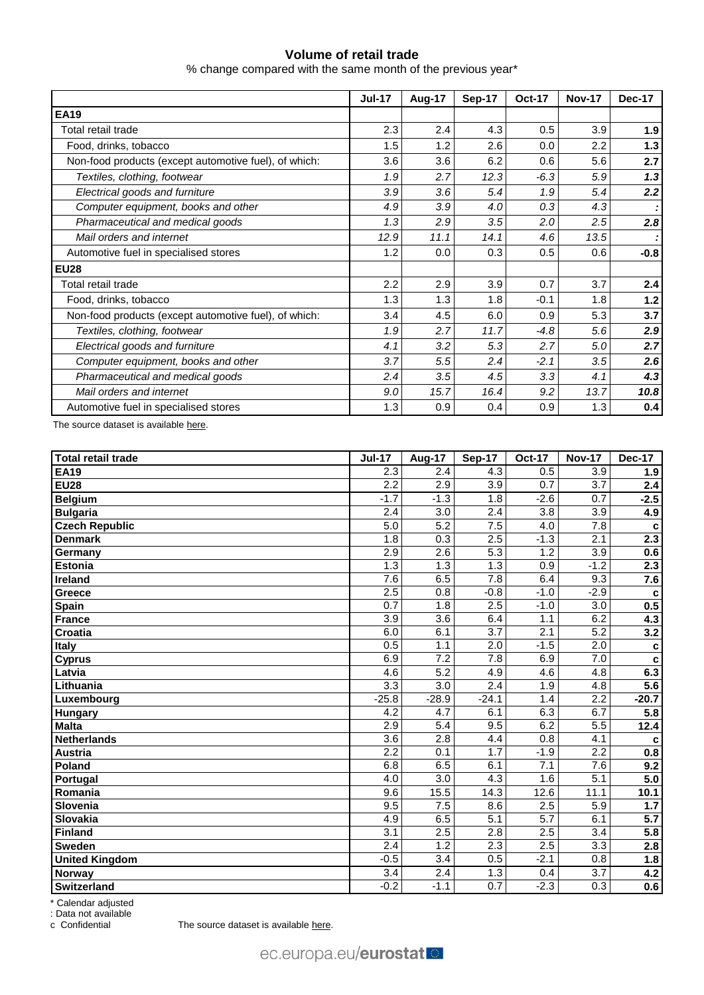## **Volume of retail trade**

% change compared with the same month of the previous year\*

|                                                       | <b>Jul-17</b> | Aug-17 | Sep-17 | <b>Oct-17</b> | <b>Nov-17</b> | Dec-17 |
|-------------------------------------------------------|---------------|--------|--------|---------------|---------------|--------|
| <b>EA19</b>                                           |               |        |        |               |               |        |
| Total retail trade                                    | 2.3           | 2.4    | 4.3    | 0.5           | 3.9           | 1.9    |
| Food, drinks, tobacco                                 | 1.5           | 1.2    | 2.6    | 0.0           | 2.2           | $1.3$  |
| Non-food products (except automotive fuel), of which: | 3.6           | 3.6    | 6.2    | 0.6           | 5.6           | 2.7    |
| Textiles, clothing, footwear                          | 1.9           | 2.7    | 12.3   | $-6.3$        | 5.9           | 1.3    |
| Electrical goods and furniture                        | 3.9           | 3.6    | 5.4    | 1.9           | 5.4           | 2.2    |
| Computer equipment, books and other                   | 4.9           | 3.9    | 4.0    | 0.3           | 4.3           |        |
| Pharmaceutical and medical goods                      | 1.3           | 2.9    | 3.5    | 2.0           | 2.5           | 2.8    |
| Mail orders and internet                              | 12.9          | 11.1   | 14.1   | 4.6           | 13.5          |        |
| Automotive fuel in specialised stores                 | 1.2           | 0.0    | 0.3    | 0.5           | 0.6           | $-0.8$ |
| <b>EU28</b>                                           |               |        |        |               |               |        |
| Total retail trade                                    | 2.2           | 2.9    | 3.9    | 0.7           | 3.7           | 2.4    |
| Food, drinks, tobacco                                 | 1.3           | 1.3    | 1.8    | $-0.1$        | 1.8           | $1.2$  |
| Non-food products (except automotive fuel), of which: | 3.4           | 4.5    | 6.0    | 0.9           | 5.3           | 3.7    |
| Textiles, clothing, footwear                          | 1.9           | 2.7    | 11.7   | $-4.8$        | 5.6           | 2.9    |
| Electrical goods and furniture                        | 4.1           | 3.2    | 5.3    | 2.7           | 5.0           | 2.7    |
| Computer equipment, books and other                   | 3.7           | 5.5    | 2.4    | $-2.1$        | 3.5           | 2.6    |
| Pharmaceutical and medical goods                      | 2.4           | 3.5    | 4.5    | 3.3           | 4.1           | 4.3    |
| Mail orders and internet                              | 9.0           | 15.7   | 16.4   | 9.2           | 13.7          | 10.8   |
| Automotive fuel in specialised stores                 | 1.3           | 0.9    | 0.4    | 0.9           | 1.3           | 0.4    |

The source dataset is available [here.](http://appsso.eurostat.ec.europa.eu/nui/show.do?query=BOOKMARK_DS-075757_QID_1411862_UID_-3F171EB0&layout=TIME,C,X,0;GEO,L,Y,0;NACE_R2,L,Y,1;INDIC_BT,L,Z,0;S_ADJ,L,Z,1;UNIT,L,Z,2;INDICATORS,C,Z,3;&zSelection=DS-075757INDIC_BT,TOVV;DS-075757UNIT,PCH_SM;DS-075757INDICATORS,OBS_FLAG;DS-075757S_ADJ,CA;&rankName1=UNIT_1_2_-1_2&rankName2=INDIC-BT_1_2_-1_2&rankName3=INDICATORS_1_2_-1_2&rankName4=S-ADJ_1_2_-1_2&rankName5=TIME_1_0_0_0&rankName6=GEO_1_0_0_1&rankName7=NACE-R2_1_0_1_1&sortR=ASC_-1_FIRST&sortC=ASC_-1_FIRST&rStp=&cStp=&rDCh=&cDCh=&rDM=true&cDM=true&footnes=false&empty=false&wai=false&time_mode=ROLLING&time_most_recent=true&lang=EN&cfo=%23%23%23%2C%23%23%23.%23%23%23)

| Total retail trade    | <b>Jul-17</b>    | Aug-17           | Sep-17           | <b>Oct-17</b>    | <b>Nov-17</b>    | <b>Dec-17</b>           |
|-----------------------|------------------|------------------|------------------|------------------|------------------|-------------------------|
| <b>EA19</b>           | 2.3              | 2.4              | 4.3              | 0.5              | 3.9              | 1.9                     |
| <b>EU28</b>           | 2.2              | 2.9              | $\overline{3.9}$ | 0.7              | 3.7              | $\overline{2.4}$        |
| <b>Belgium</b>        | $-1.7$           | $-1.3$           | 1.8              | $-2.6$           | 0.7              | $-2.5$                  |
| <b>Bulgaria</b>       | 2.4              | $\overline{3.0}$ | $\overline{2.4}$ | 3.8              | $\overline{3.9}$ | 4.9                     |
| <b>Czech Republic</b> | $\overline{5.0}$ | $\overline{5.2}$ | 7.5              | 4.0              | $\overline{7.8}$ | C                       |
| <b>Denmark</b>        | 1.8              | $\overline{0.3}$ | 2.5              | $-1.3$           | 2.1              | 2.3                     |
| Germany               | $\overline{2.9}$ | $\overline{2.6}$ | $\overline{5.3}$ | 1.2              | 3.9              | 0.6                     |
| <b>Estonia</b>        | $\overline{1.3}$ | 1.3              | 1.3              | 0.9              | $-1.2$           | 2.3                     |
| Ireland               | 7.6              | 6.5              | 7.8              | 6.4              | 9.3              | 7.6                     |
| <b>Greece</b>         | 2.5              | 0.8              | $-0.8$           | $-1.0$           | $-2.9$           | $\mathbf c$             |
| Spain                 | 0.7              | 1.8              | 2.5              | $-1.0$           | 3.0              | 0.5                     |
| France                | 3.9              | $\overline{3.6}$ | 6.4              | 1.1              | 6.2              | 4.3                     |
| <b>Croatia</b>        | 6.0              | 6.1              | 3.7              | 2.1              | $\overline{5.2}$ | 3.2                     |
| Italy                 | 0.5              | 1.1              | 2.0              | $-1.5$           | 2.0              | $\mathbf c$             |
| <b>Cyprus</b>         | 6.9              | $\overline{7.2}$ | 7.8              | 6.9              | $\overline{7.0}$ | C                       |
| Latvia                | 4.6              | 5.2              | 4.9              | 4.6              | 4.8              | 6.3                     |
| Lithuania             | 3.3              | $\overline{3.0}$ | 2.4              | 1.9              | 4.8              | 5.6                     |
| Luxembourg            | $-25.8$          | $-28.9$          | $-24.1$          | 1.4              | $\overline{2.2}$ | $-20.7$                 |
| <b>Hungary</b>        | 4.2              | 4.7              | 6.1              | 6.3              | 6.7              | $\overline{5.8}$        |
| <b>Malta</b>          | 2.9              | 5.4              | 9.5              | 6.2              | 5.5              | 12.4                    |
| <b>Netherlands</b>    | 3.6              | $\overline{2.8}$ | 4.4              | 0.8              | 4.1              | C                       |
| Austria               | 2.2              | 0.1              | 1.7              | $-1.9$           | 2.2              | 0.8                     |
| Poland                | 6.8              | 6.5              | 6.1              | $\overline{7.1}$ | $\overline{7.6}$ | 9.2                     |
| Portugal              | 4.0              | $\overline{3.0}$ | 4.3              | 1.6              | $\overline{5.1}$ | $\overline{5.0}$        |
| Romania               | 9.6              | 15.5             | 14.3             | 12.6             | 11.1             | 10.1                    |
| Slovenia              | 9.5              | 7.5              | 8.6              | 2.5              | 5.9              | 1.7                     |
| Slovakia              | 4.9              | 6.5              | $\overline{5.1}$ | $\overline{5.7}$ | 6.1              | 5.7                     |
| Finland               | $\overline{3.1}$ | 2.5              | $\overline{2.8}$ | 2.5              | $\overline{3.4}$ | 5.8                     |
| Sweden                | $\overline{2.4}$ | 1.2              | 2.3              | 2.5              | $\overline{3.3}$ | $\overline{2.8}$        |
| <b>United Kingdom</b> | $-0.5$           | 3.4              | 0.5              | $-2.1$           | 0.8              | 1.8                     |
| Norway                | 3.4              | 2.4              | 1.3              | 0.4              | 3.7              | 4.2                     |
| Switzerland           | $-0.2$           | $-1.1$           | 0.7              | $-2.3$           | $\overline{0.3}$ | $\overline{\mathbf{6}}$ |

\* Calendar adjusted

: Data not available

c Confidential The source dataset is availabl[e here.](http://appsso.eurostat.ec.europa.eu/nui/show.do?query=BOOKMARK_DS-075757_QID_4868268A_UID_-3F171EB0&layout=TIME,C,X,0;GEO,L,Y,0;INDIC_BT,L,Z,0;NACE_R2,L,Z,1;S_ADJ,L,Z,2;UNIT,L,Z,3;INDICATORS,C,Z,4;&zSelection=DS-075757INDIC_BT,TOVV;DS-075757NACE_R2,G47;DS-075757UNIT,PCH_SM;DS-075757INDICATORS,OBS_FLAG;DS-075757S_ADJ,CA;&rankName1=UNIT_1_2_-1_2&rankName2=INDIC-BT_1_2_-1_2&rankName3=INDICATORS_1_2_-1_2&rankName4=S-ADJ_1_2_-1_2&rankName5=NACE-R2_1_2_-1_2&rankName6=TIME_1_0_0_0&rankName7=GEO_1_2_0_1&sortC=ASC_-1_FIRST&rStp=&cStp=&rDCh=&cDCh=&rDM=true&cDM=true&footnes=false&empty=false&wai=false&time_mode=ROLLING&time_most_recent=true&lang=EN&cfo=%23%23%23%2C%23%23%23.%23%23%23)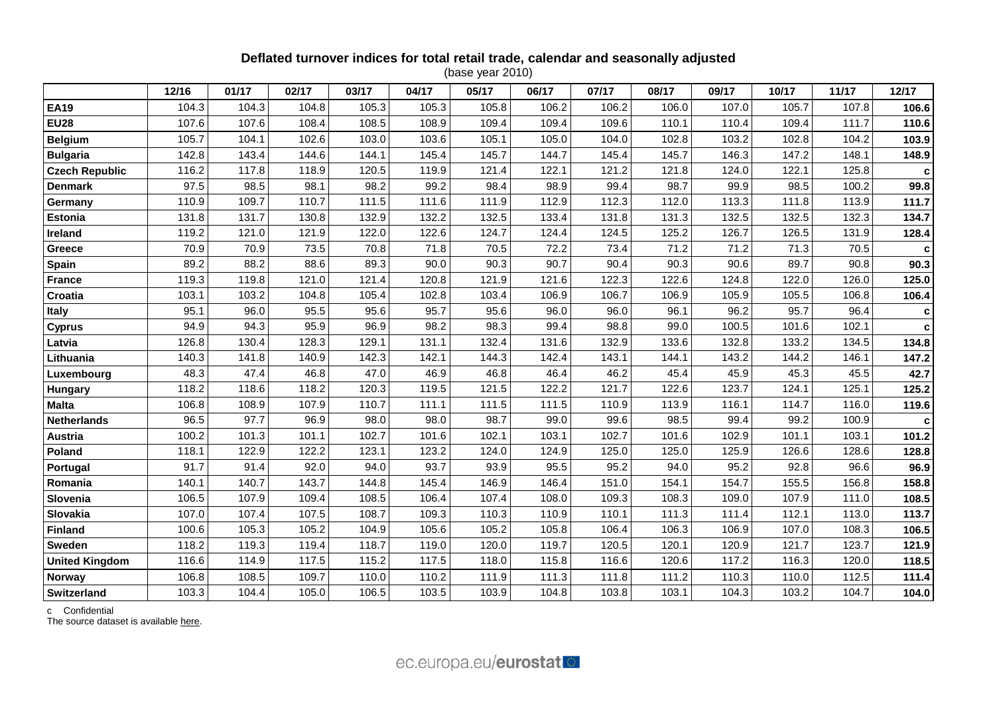## **Deflated turnover indices for total retail trade, calendar and seasonally adjusted**

(base year 2010)

|                       | 12/16 | 01/17 | 02/17 | 03/17 | 04/17 | 05/17 | 06/17 | 07/17 | 08/17 | 09/17 | 10/17 | 11/17 | 12/17 |
|-----------------------|-------|-------|-------|-------|-------|-------|-------|-------|-------|-------|-------|-------|-------|
| <b>EA19</b>           | 104.3 | 104.3 | 104.8 | 105.3 | 105.3 | 105.8 | 106.2 | 106.2 | 106.0 | 107.0 | 105.7 | 107.8 | 106.6 |
| <b>EU28</b>           | 107.6 | 107.6 | 108.4 | 108.5 | 108.9 | 109.4 | 109.4 | 109.6 | 110.1 | 110.4 | 109.4 | 111.7 | 110.6 |
| <b>Belgium</b>        | 105.7 | 104.1 | 102.6 | 103.0 | 103.6 | 105.1 | 105.0 | 104.0 | 102.8 | 103.2 | 102.8 | 104.2 | 103.9 |
| <b>Bulgaria</b>       | 142.8 | 143.4 | 144.6 | 144.1 | 145.4 | 145.7 | 144.7 | 145.4 | 145.7 | 146.3 | 147.2 | 148.1 | 148.9 |
| <b>Czech Republic</b> | 116.2 | 117.8 | 118.9 | 120.5 | 119.9 | 121.4 | 122.1 | 121.2 | 121.8 | 124.0 | 122.1 | 125.8 | C     |
| <b>Denmark</b>        | 97.5  | 98.5  | 98.1  | 98.2  | 99.2  | 98.4  | 98.9  | 99.4  | 98.7  | 99.9  | 98.5  | 100.2 | 99.8  |
| Germany               | 110.9 | 109.7 | 110.7 | 111.5 | 111.6 | 111.9 | 112.9 | 112.3 | 112.0 | 113.3 | 111.8 | 113.9 | 111.7 |
| Estonia               | 131.8 | 131.7 | 130.8 | 132.9 | 132.2 | 132.5 | 133.4 | 131.8 | 131.3 | 132.5 | 132.5 | 132.3 | 134.7 |
| Ireland               | 119.2 | 121.0 | 121.9 | 122.0 | 122.6 | 124.7 | 124.4 | 124.5 | 125.2 | 126.7 | 126.5 | 131.9 | 128.4 |
| Greece                | 70.9  | 70.9  | 73.5  | 70.8  | 71.8  | 70.5  | 72.2  | 73.4  | 71.2  | 71.2  | 71.3  | 70.5  | c     |
| <b>Spain</b>          | 89.2  | 88.2  | 88.6  | 89.3  | 90.0  | 90.3  | 90.7  | 90.4  | 90.3  | 90.6  | 89.7  | 90.8  | 90.3  |
| <b>France</b>         | 119.3 | 119.8 | 121.0 | 121.4 | 120.8 | 121.9 | 121.6 | 122.3 | 122.6 | 124.8 | 122.0 | 126.0 | 125.0 |
| Croatia               | 103.1 | 103.2 | 104.8 | 105.4 | 102.8 | 103.4 | 106.9 | 106.7 | 106.9 | 105.9 | 105.5 | 106.8 | 106.4 |
| Italy                 | 95.1  | 96.0  | 95.5  | 95.6  | 95.7  | 95.6  | 96.0  | 96.0  | 96.1  | 96.2  | 95.7  | 96.4  | c     |
| <b>Cyprus</b>         | 94.9  | 94.3  | 95.9  | 96.9  | 98.2  | 98.3  | 99.4  | 98.8  | 99.0  | 100.5 | 101.6 | 102.1 | C     |
| Latvia                | 126.8 | 130.4 | 128.3 | 129.1 | 131.1 | 132.4 | 131.6 | 132.9 | 133.6 | 132.8 | 133.2 | 134.5 | 134.8 |
| Lithuania             | 140.3 | 141.8 | 140.9 | 142.3 | 142.1 | 144.3 | 142.4 | 143.1 | 144.1 | 143.2 | 144.2 | 146.1 | 147.2 |
| Luxembourg            | 48.3  | 47.4  | 46.8  | 47.0  | 46.9  | 46.8  | 46.4  | 46.2  | 45.4  | 45.9  | 45.3  | 45.5  | 42.7  |
| Hungary               | 118.2 | 118.6 | 118.2 | 120.3 | 119.5 | 121.5 | 122.2 | 121.7 | 122.6 | 123.7 | 124.1 | 125.1 | 125.2 |
| <b>Malta</b>          | 106.8 | 108.9 | 107.9 | 110.7 | 111.1 | 111.5 | 111.5 | 110.9 | 113.9 | 116.1 | 114.7 | 116.0 | 119.6 |
| <b>Netherlands</b>    | 96.5  | 97.7  | 96.9  | 98.0  | 98.0  | 98.7  | 99.0  | 99.6  | 98.5  | 99.4  | 99.2  | 100.9 | C     |
| <b>Austria</b>        | 100.2 | 101.3 | 101.1 | 102.7 | 101.6 | 102.1 | 103.1 | 102.7 | 101.6 | 102.9 | 101.1 | 103.1 | 101.2 |
| Poland                | 118.1 | 122.9 | 122.2 | 123.1 | 123.2 | 124.0 | 124.9 | 125.0 | 125.0 | 125.9 | 126.6 | 128.6 | 128.8 |
| Portugal              | 91.7  | 91.4  | 92.0  | 94.0  | 93.7  | 93.9  | 95.5  | 95.2  | 94.0  | 95.2  | 92.8  | 96.6  | 96.9  |
| Romania               | 140.1 | 140.7 | 143.7 | 144.8 | 145.4 | 146.9 | 146.4 | 151.0 | 154.1 | 154.7 | 155.5 | 156.8 | 158.8 |
| Slovenia              | 106.5 | 107.9 | 109.4 | 108.5 | 106.4 | 107.4 | 108.0 | 109.3 | 108.3 | 109.0 | 107.9 | 111.0 | 108.5 |
| Slovakia              | 107.0 | 107.4 | 107.5 | 108.7 | 109.3 | 110.3 | 110.9 | 110.1 | 111.3 | 111.4 | 112.1 | 113.0 | 113.7 |
| <b>Finland</b>        | 100.6 | 105.3 | 105.2 | 104.9 | 105.6 | 105.2 | 105.8 | 106.4 | 106.3 | 106.9 | 107.0 | 108.3 | 106.5 |
| Sweden                | 118.2 | 119.3 | 119.4 | 118.7 | 119.0 | 120.0 | 119.7 | 120.5 | 120.1 | 120.9 | 121.7 | 123.7 | 121.9 |
| <b>United Kingdom</b> | 116.6 | 114.9 | 117.5 | 115.2 | 117.5 | 118.0 | 115.8 | 116.6 | 120.6 | 117.2 | 116.3 | 120.0 | 118.5 |
| Norway                | 106.8 | 108.5 | 109.7 | 110.0 | 110.2 | 111.9 | 111.3 | 111.8 | 111.2 | 110.3 | 110.0 | 112.5 | 111.4 |
| Switzerland           | 103.3 | 104.4 | 105.0 | 106.5 | 103.5 | 103.9 | 104.8 | 103.8 | 103.1 | 104.3 | 103.2 | 104.7 | 104.0 |

c Confidential

The source dataset is available [here.](http://appsso.eurostat.ec.europa.eu/nui/show.do?query=BOOKMARK_DS-075757_QID_7EF248B9_UID_-3F171EB0&layout=TIME,C,X,0;GEO,L,Y,0;INDIC_BT,L,Z,0;NACE_R2,L,Z,1;S_ADJ,L,Z,2;UNIT,L,Z,3;INDICATORS,C,Z,4;&zSelection=DS-075757INDIC_BT,TOVV;DS-075757NACE_R2,G47;DS-075757UNIT,I10;DS-075757INDICATORS,OBS_FLAG;DS-075757S_ADJ,SCA;&rankName1=UNIT_1_2_-1_2&rankName2=INDIC-BT_1_2_-1_2&rankName3=INDICATORS_1_2_-1_2&rankName4=S-ADJ_1_2_-1_2&rankName5=NACE-R2_1_2_-1_2&rankName6=TIME_1_0_0_0&rankName7=GEO_1_2_0_1&sortC=ASC_-1_FIRST&rStp=&cStp=&rDCh=&cDCh=&rDM=true&cDM=true&footnes=false&empty=false&wai=false&time_mode=ROLLING&time_most_recent=true&lang=EN&cfo=%23%23%23%2C%23%23%23.%23%23%23)